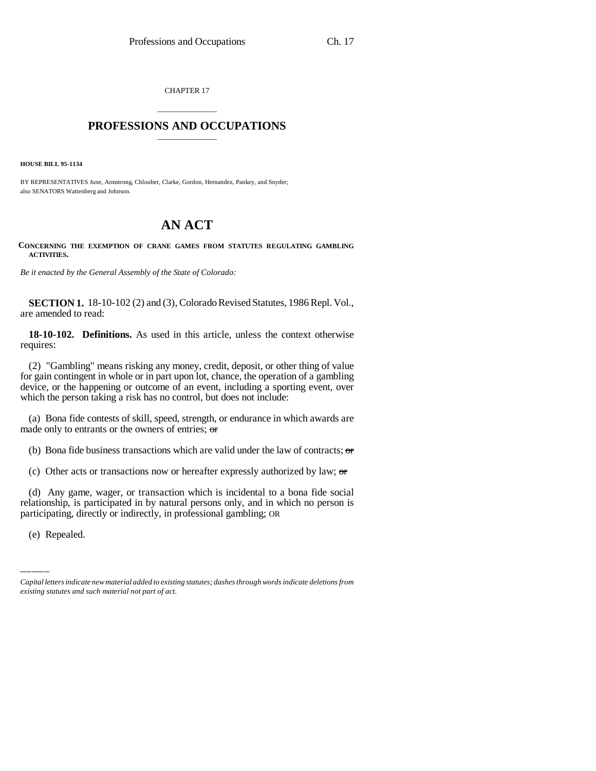CHAPTER 17

## \_\_\_\_\_\_\_\_\_\_\_\_\_\_\_ **PROFESSIONS AND OCCUPATIONS** \_\_\_\_\_\_\_\_\_\_\_\_\_\_\_

**HOUSE BILL 95-1134**

BY REPRESENTATIVES June, Armstrong, Chlouber, Clarke, Gordon, Hernandez, Pankey, and Snyder; also SENATORS Wattenberg and Johnson.

## **AN ACT**

## **CONCERNING THE EXEMPTION OF CRANE GAMES FROM STATUTES REGULATING GAMBLING ACTIVITIES.**

*Be it enacted by the General Assembly of the State of Colorado:*

**SECTION 1.** 18-10-102 (2) and (3), Colorado Revised Statutes, 1986 Repl. Vol., are amended to read:

**18-10-102. Definitions.** As used in this article, unless the context otherwise requires:

(2) "Gambling" means risking any money, credit, deposit, or other thing of value for gain contingent in whole or in part upon lot, chance, the operation of a gambling device, or the happening or outcome of an event, including a sporting event, over which the person taking a risk has no control, but does not include:

(a) Bona fide contests of skill, speed, strength, or endurance in which awards are made only to entrants or the owners of entries; or

(b) Bona fide business transactions which are valid under the law of contracts;  $\sigma$ 

(c) Other acts or transactions now or hereafter expressly authorized by law;  $\sigma$ 

(a) Any gaine, wager, or transaction which is included to a bona had social<br>relationship, is participated in by natural persons only, and in which no person is (d) Any game, wager, or transaction which is incidental to a bona fide social participating, directly or indirectly, in professional gambling; OR

(e) Repealed.

*Capital letters indicate new material added to existing statutes; dashes through words indicate deletions from existing statutes and such material not part of act.*